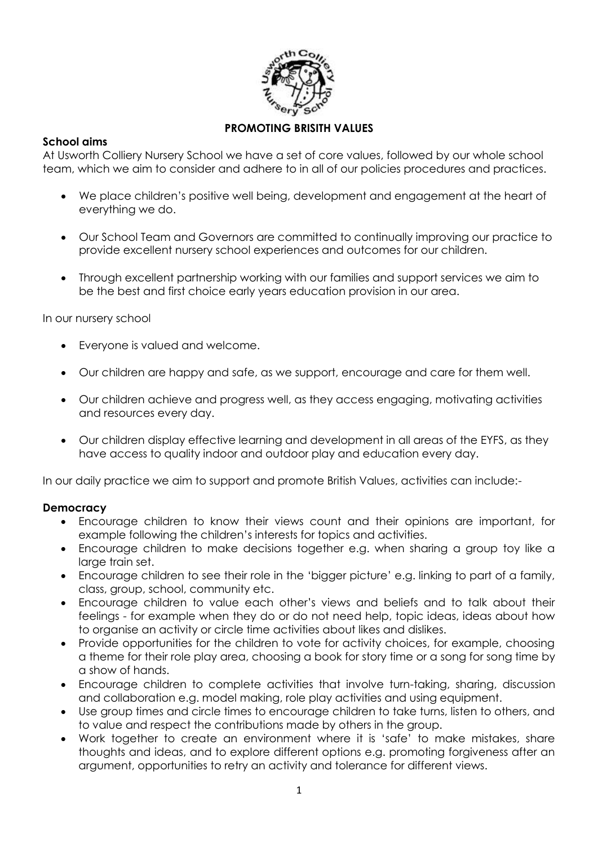

#### **PROMOTING BRISITH VALUES**

#### **School aims**

At Usworth Colliery Nursery School we have a set of core values, followed by our whole school team, which we aim to consider and adhere to in all of our policies procedures and practices.

- We place children's positive well being, development and engagement at the heart of everything we do.
- Our School Team and Governors are committed to continually improving our practice to provide excellent nursery school experiences and outcomes for our children.
- Through excellent partnership working with our families and support services we aim to be the best and first choice early years education provision in our area.

#### In our nursery school

- Everyone is valued and welcome.
- Our children are happy and safe, as we support, encourage and care for them well.
- Our children achieve and progress well, as they access engaging, motivating activities and resources every day.
- Our children display effective learning and development in all areas of the EYFS, as they have access to quality indoor and outdoor play and education every day.

In our daily practice we aim to support and promote British Values, activities can include:-

## **Democracy**

- Encourage children to know their views count and their opinions are important, for example following the children's interests for topics and activities.
- Encourage children to make decisions together e.g. when sharing a group toy like a large train set.
- Encourage children to see their role in the 'bigger picture' e.g. linking to part of a family, class, group, school, community etc.
- Encourage children to value each other's views and beliefs and to talk about their feelings - for example when they do or do not need help, topic ideas, ideas about how to organise an activity or circle time activities about likes and dislikes.
- Provide opportunities for the children to vote for activity choices, for example, choosing a theme for their role play area, choosing a book for story time or a song for song time by a show of hands.
- Encourage children to complete activities that involve turn-taking, sharing, discussion and collaboration e.g. model making, role play activities and using equipment.
- Use group times and circle times to encourage children to take turns, listen to others, and to value and respect the contributions made by others in the group.
- Work together to create an environment where it is 'safe' to make mistakes, share thoughts and ideas, and to explore different options e.g. promoting forgiveness after an argument, opportunities to retry an activity and tolerance for different views.